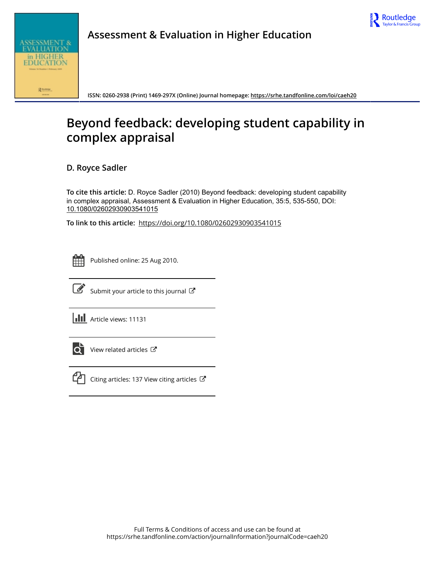

# **EDUCATIO R** handy

**Assessment & Evaluation in Higher Education**

**ISSN: 0260-2938 (Print) 1469-297X (Online) Journal homepage: <https://srhe.tandfonline.com/loi/caeh20>**

# **Beyond feedback: developing student capability in complex appraisal**

**D. Royce Sadler**

**To cite this article:** D. Royce Sadler (2010) Beyond feedback: developing student capability in complex appraisal, Assessment & Evaluation in Higher Education, 35:5, 535-550, DOI: [10.1080/02602930903541015](https://srhe.tandfonline.com/action/showCitFormats?doi=10.1080/02602930903541015)

**To link to this article:** <https://doi.org/10.1080/02602930903541015>



Published online: 25 Aug 2010.



 $\overrightarrow{S}$  [Submit your article to this journal](https://srhe.tandfonline.com/action/authorSubmission?journalCode=caeh20&show=instructions)  $G$ 

**III** Article views: 11131



 $\overrightarrow{O}$  [View related articles](https://srhe.tandfonline.com/doi/mlt/10.1080/02602930903541015)  $\overrightarrow{C}$ 



 $\mathbb{C}$  [Citing articles: 137 View citing articles](https://srhe.tandfonline.com/doi/citedby/10.1080/02602930903541015#tabModule)  $\mathbb{C}$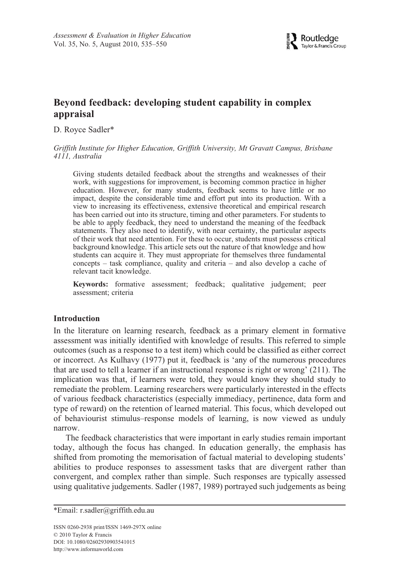# **Beyond feedback: developing student capability in complex appraisal**

D. Royce Sadler\*

*Griffith Institute for Higher Education, Griffith University, Mt Gravatt Campus, Brisbane 4111, Australia*

Giving students detailed feedback about the strengths and weaknesses of their work, with suggestions for improvement, is becoming common practice in higher education. However, for many students, feedback seems to have little or no impact, despite the considerable time and effort put into its production. With a view to increasing its effectiveness, extensive theoretical and empirical research has been carried out into its structure, timing and other parameters. For students to be able to apply feedback, they need to understand the meaning of the feedback statements. They also need to identify, with near certainty, the particular aspects of their work that need attention. For these to occur, students must possess critical background knowledge. This article sets out the nature of that knowledge and how students can acquire it. They must appropriate for themselves three fundamental concepts – task compliance, quality and criteria – and also develop a cache of relevant tacit knowledge.

**Keywords:** formative assessment; feedback; qualitative judgement; peer assessment; criteria

#### **Introduction**

In the literature on learning research, feedback as a primary element in formative assessment was initially identified with knowledge of results. This referred to simple outcomes (such as a response to a test item) which could be classified as either correct or incorrect. As Kulhavy (1977) put it, feedback is 'any of the numerous procedures that are used to tell a learner if an instructional response is right or wrong' (211). The implication was that, if learners were told, they would know they should study to remediate the problem. Learning researchers were particularly interested in the effects of various feedback characteristics (especially immediacy, pertinence, data form and type of reward) on the retention of learned material. This focus, which developed out of behaviourist stimulus–response models of learning, is now viewed as unduly narrow.

The feedback characteristics that were important in early studies remain important today, although the focus has changed. In education generally, the emphasis has shifted from promoting the memorisation of factual material to developing students' abilities to produce responses to assessment tasks that are divergent rather than convergent, and complex rather than simple. Such responses are typically assessed using qualitative judgements. Sadler (1987, 1989) portrayed such judgements as being

<sup>\*</sup>Email: r.sadler@griffith.edu.au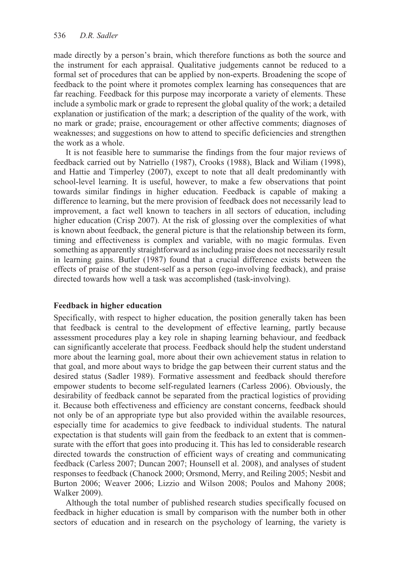made directly by a person's brain, which therefore functions as both the source and the instrument for each appraisal. Qualitative judgements cannot be reduced to a formal set of procedures that can be applied by non-experts. Broadening the scope of feedback to the point where it promotes complex learning has consequences that are far reaching. Feedback for this purpose may incorporate a variety of elements. These include a symbolic mark or grade to represent the global quality of the work; a detailed explanation or justification of the mark; a description of the quality of the work, with no mark or grade; praise, encouragement or other affective comments; diagnoses of weaknesses; and suggestions on how to attend to specific deficiencies and strengthen the work as a whole.

It is not feasible here to summarise the findings from the four major reviews of feedback carried out by Natriello (1987), Crooks (1988), Black and Wiliam (1998), and Hattie and Timperley (2007), except to note that all dealt predominantly with school-level learning. It is useful, however, to make a few observations that point towards similar findings in higher education. Feedback is capable of making a difference to learning, but the mere provision of feedback does not necessarily lead to improvement, a fact well known to teachers in all sectors of education, including higher education (Crisp 2007). At the risk of glossing over the complexities of what is known about feedback, the general picture is that the relationship between its form, timing and effectiveness is complex and variable, with no magic formulas. Even something as apparently straightforward as including praise does not necessarily result in learning gains. Butler (1987) found that a crucial difference exists between the effects of praise of the student-self as a person (ego-involving feedback), and praise directed towards how well a task was accomplished (task-involving).

#### **Feedback in higher education**

Specifically, with respect to higher education, the position generally taken has been that feedback is central to the development of effective learning, partly because assessment procedures play a key role in shaping learning behaviour, and feedback can significantly accelerate that process. Feedback should help the student understand more about the learning goal, more about their own achievement status in relation to that goal, and more about ways to bridge the gap between their current status and the desired status (Sadler 1989). Formative assessment and feedback should therefore empower students to become self-regulated learners (Carless 2006). Obviously, the desirability of feedback cannot be separated from the practical logistics of providing it. Because both effectiveness and efficiency are constant concerns, feedback should not only be of an appropriate type but also provided within the available resources, especially time for academics to give feedback to individual students. The natural expectation is that students will gain from the feedback to an extent that is commensurate with the effort that goes into producing it. This has led to considerable research directed towards the construction of efficient ways of creating and communicating feedback (Carless 2007; Duncan 2007; Hounsell et al. 2008), and analyses of student responses to feedback (Chanock 2000; Orsmond, Merry, and Reiling 2005; Nesbit and Burton 2006; Weaver 2006; Lizzio and Wilson 2008; Poulos and Mahony 2008; Walker 2009).

Although the total number of published research studies specifically focused on feedback in higher education is small by comparison with the number both in other sectors of education and in research on the psychology of learning, the variety is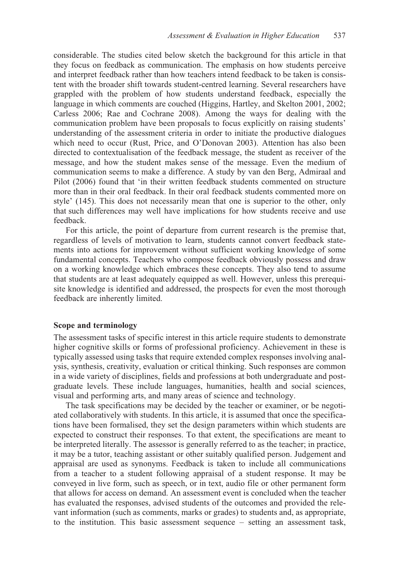considerable. The studies cited below sketch the background for this article in that they focus on feedback as communication. The emphasis on how students perceive and interpret feedback rather than how teachers intend feedback to be taken is consistent with the broader shift towards student-centred learning. Several researchers have grappled with the problem of how students understand feedback, especially the language in which comments are couched (Higgins, Hartley, and Skelton 2001, 2002; Carless 2006; Rae and Cochrane 2008). Among the ways for dealing with the communication problem have been proposals to focus explicitly on raising students' understanding of the assessment criteria in order to initiate the productive dialogues which need to occur (Rust, Price, and O'Donovan 2003). Attention has also been directed to contextualisation of the feedback message, the student as receiver of the message, and how the student makes sense of the message. Even the medium of communication seems to make a difference. A study by van den Berg, Admiraal and Pilot (2006) found that 'in their written feedback students commented on structure more than in their oral feedback. In their oral feedback students commented more on style' (145). This does not necessarily mean that one is superior to the other, only that such differences may well have implications for how students receive and use feedback.

For this article, the point of departure from current research is the premise that, regardless of levels of motivation to learn, students cannot convert feedback statements into actions for improvement without sufficient working knowledge of some fundamental concepts. Teachers who compose feedback obviously possess and draw on a working knowledge which embraces these concepts. They also tend to assume that students are at least adequately equipped as well. However, unless this prerequisite knowledge is identified and addressed, the prospects for even the most thorough feedback are inherently limited.

#### **Scope and terminology**

The assessment tasks of specific interest in this article require students to demonstrate higher cognitive skills or forms of professional proficiency. Achievement in these is typically assessed using tasks that require extended complex responses involving analysis, synthesis, creativity, evaluation or critical thinking. Such responses are common in a wide variety of disciplines, fields and professions at both undergraduate and postgraduate levels. These include languages, humanities, health and social sciences, visual and performing arts, and many areas of science and technology.

The task specifications may be decided by the teacher or examiner, or be negotiated collaboratively with students. In this article, it is assumed that once the specifications have been formalised, they set the design parameters within which students are expected to construct their responses. To that extent, the specifications are meant to be interpreted literally. The assessor is generally referred to as the teacher; in practice, it may be a tutor, teaching assistant or other suitably qualified person. Judgement and appraisal are used as synonyms. Feedback is taken to include all communications from a teacher to a student following appraisal of a student response. It may be conveyed in live form, such as speech, or in text, audio file or other permanent form that allows for access on demand. An assessment event is concluded when the teacher has evaluated the responses, advised students of the outcomes and provided the relevant information (such as comments, marks or grades) to students and, as appropriate, to the institution. This basic assessment sequence – setting an assessment task,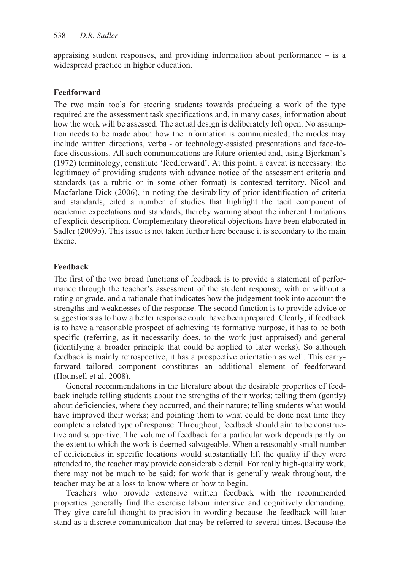appraising student responses, and providing information about performance  $-$  is a widespread practice in higher education.

#### **Feedforward**

The two main tools for steering students towards producing a work of the type required are the assessment task specifications and, in many cases, information about how the work will be assessed. The actual design is deliberately left open. No assumption needs to be made about how the information is communicated; the modes may include written directions, verbal- or technology-assisted presentations and face-toface discussions. All such communications are future-oriented and, using Bjorkman's (1972) terminology, constitute 'feedforward'. At this point, a caveat is necessary: the legitimacy of providing students with advance notice of the assessment criteria and standards (as a rubric or in some other format) is contested territory. Nicol and Macfarlane-Dick (2006), in noting the desirability of prior identification of criteria and standards, cited a number of studies that highlight the tacit component of academic expectations and standards, thereby warning about the inherent limitations of explicit description. Complementary theoretical objections have been elaborated in Sadler (2009b). This issue is not taken further here because it is secondary to the main theme.

#### **Feedback**

The first of the two broad functions of feedback is to provide a statement of performance through the teacher's assessment of the student response, with or without a rating or grade, and a rationale that indicates how the judgement took into account the strengths and weaknesses of the response. The second function is to provide advice or suggestions as to how a better response could have been prepared. Clearly, if feedback is to have a reasonable prospect of achieving its formative purpose, it has to be both specific (referring, as it necessarily does, to the work just appraised) and general (identifying a broader principle that could be applied to later works). So although feedback is mainly retrospective, it has a prospective orientation as well. This carryforward tailored component constitutes an additional element of feedforward (Hounsell et al. 2008).

General recommendations in the literature about the desirable properties of feedback include telling students about the strengths of their works; telling them (gently) about deficiencies, where they occurred, and their nature; telling students what would have improved their works; and pointing them to what could be done next time they complete a related type of response. Throughout, feedback should aim to be constructive and supportive. The volume of feedback for a particular work depends partly on the extent to which the work is deemed salvageable. When a reasonably small number of deficiencies in specific locations would substantially lift the quality if they were attended to, the teacher may provide considerable detail. For really high-quality work, there may not be much to be said; for work that is generally weak throughout, the teacher may be at a loss to know where or how to begin.

Teachers who provide extensive written feedback with the recommended properties generally find the exercise labour intensive and cognitively demanding. They give careful thought to precision in wording because the feedback will later stand as a discrete communication that may be referred to several times. Because the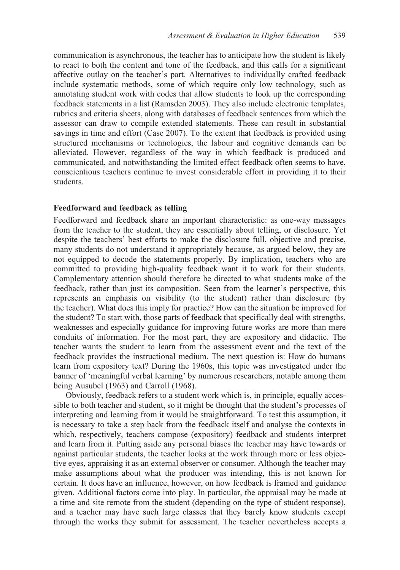communication is asynchronous, the teacher has to anticipate how the student is likely to react to both the content and tone of the feedback, and this calls for a significant affective outlay on the teacher's part. Alternatives to individually crafted feedback include systematic methods, some of which require only low technology, such as annotating student work with codes that allow students to look up the corresponding feedback statements in a list (Ramsden 2003). They also include electronic templates, rubrics and criteria sheets, along with databases of feedback sentences from which the assessor can draw to compile extended statements. These can result in substantial savings in time and effort (Case 2007). To the extent that feedback is provided using structured mechanisms or technologies, the labour and cognitive demands can be alleviated. However, regardless of the way in which feedback is produced and communicated, and notwithstanding the limited effect feedback often seems to have, conscientious teachers continue to invest considerable effort in providing it to their students.

#### **Feedforward and feedback as telling**

Feedforward and feedback share an important characteristic: as one-way messages from the teacher to the student, they are essentially about telling, or disclosure. Yet despite the teachers' best efforts to make the disclosure full, objective and precise, many students do not understand it appropriately because, as argued below, they are not equipped to decode the statements properly. By implication, teachers who are committed to providing high-quality feedback want it to work for their students. Complementary attention should therefore be directed to what students make of the feedback, rather than just its composition. Seen from the learner's perspective, this represents an emphasis on visibility (to the student) rather than disclosure (by the teacher). What does this imply for practice? How can the situation be improved for the student? To start with, those parts of feedback that specifically deal with strengths, weaknesses and especially guidance for improving future works are more than mere conduits of information. For the most part, they are expository and didactic. The teacher wants the student to learn from the assessment event and the text of the feedback provides the instructional medium. The next question is: How do humans learn from expository text? During the 1960s, this topic was investigated under the banner of 'meaningful verbal learning' by numerous researchers, notable among them being Ausubel (1963) and Carroll (1968).

Obviously, feedback refers to a student work which is, in principle, equally accessible to both teacher and student, so it might be thought that the student's processes of interpreting and learning from it would be straightforward. To test this assumption, it is necessary to take a step back from the feedback itself and analyse the contexts in which, respectively, teachers compose (expository) feedback and students interpret and learn from it. Putting aside any personal biases the teacher may have towards or against particular students, the teacher looks at the work through more or less objective eyes, appraising it as an external observer or consumer. Although the teacher may make assumptions about what the producer was intending, this is not known for certain. It does have an influence, however, on how feedback is framed and guidance given. Additional factors come into play. In particular, the appraisal may be made at a time and site remote from the student (depending on the type of student response), and a teacher may have such large classes that they barely know students except through the works they submit for assessment. The teacher nevertheless accepts a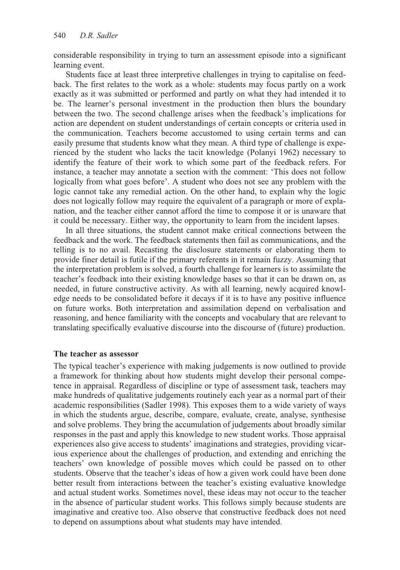considerable responsibility in trying to turn an assessment episode into a significant learning event.

Students face at least three interpretive challenges in trying to capitalise on feedback. The first relates to the work as a whole: students may focus partly on a work exactly as it was submitted or performed and partly on what they had intended it to be. The learner's personal investment in the production then blurs the boundary between the two. The second challenge arises when the feedback's implications for action are dependent on student understandings of certain concepts or criteria used in the communication. Teachers become accustomed to using certain terms and can easily presume that students know what they mean. A third type of challenge is experienced by the student who lacks the tacit knowledge (Polanyi 1962) necessary to identify the feature of their work to which some part of the feedback refers. For instance, a teacher may annotate a section with the comment: 'This does not follow logically from what goes before'. A student who does not see any problem with the logic cannot take any remedial action. On the other hand, to explain why the logic does not logically follow may require the equivalent of a paragraph or more of explanation, and the teacher either cannot afford the time to compose it or is unaware that it could be necessary. Either way, the opportunity to learn from the incident lapses.

In all three situations, the student cannot make critical connections between the feedback and the work. The feedback statements then fail as communications, and the telling is to no avail. Recasting the disclosure statements or elaborating them to provide finer detail is futile if the primary referents in it remain fuzzy. Assuming that the interpretation problem is solved, a fourth challenge for learners is to assimilate the teacher's feedback into their existing knowledge bases so that it can be drawn on, as needed, in future constructive activity. As with all learning, newly acquired knowledge needs to be consolidated before it decays if it is to have any positive influence on future works. Both interpretation and assimilation depend on verbalisation and reasoning, and hence familiarity with the concepts and vocabulary that are relevant to translating specifically evaluative discourse into the discourse of (future) production.

#### **The teacher as assessor**

The typical teacher's experience with making judgements is now outlined to provide a framework for thinking about how students might develop their personal competence in appraisal. Regardless of discipline or type of assessment task, teachers may make hundreds of qualitative judgements routinely each year as a normal part of their academic responsibilities (Sadler 1998). This exposes them to a wide variety of ways in which the students argue, describe, compare, evaluate, create, analyse, synthesise and solve problems. They bring the accumulation of judgements about broadly similar responses in the past and apply this knowledge to new student works. Those appraisal experiences also give access to students' imaginations and strategies, providing vicarious experience about the challenges of production, and extending and enriching the teachers' own knowledge of possible moves which could be passed on to other students. Observe that the teacher's ideas of how a given work could have been done better result from interactions between the teacher's existing evaluative knowledge and actual student works. Sometimes novel, these ideas may not occur to the teacher in the absence of particular student works. This follows simply because students are imaginative and creative too. Also observe that constructive feedback does not need to depend on assumptions about what students may have intended.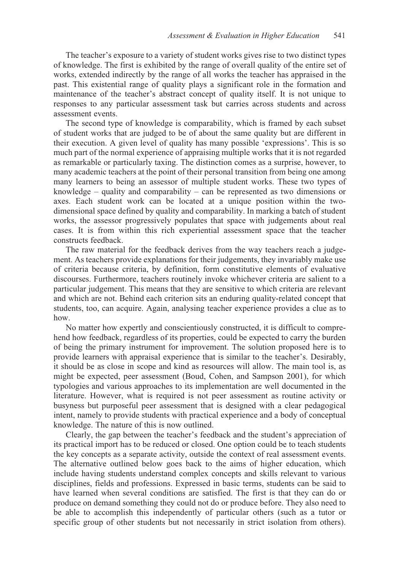The teacher's exposure to a variety of student works gives rise to two distinct types of knowledge. The first is exhibited by the range of overall quality of the entire set of works, extended indirectly by the range of all works the teacher has appraised in the past. This existential range of quality plays a significant role in the formation and maintenance of the teacher's abstract concept of quality itself. It is not unique to responses to any particular assessment task but carries across students and across assessment events.

The second type of knowledge is comparability, which is framed by each subset of student works that are judged to be of about the same quality but are different in their execution. A given level of quality has many possible 'expressions'. This is so much part of the normal experience of appraising multiple works that it is not regarded as remarkable or particularly taxing. The distinction comes as a surprise, however, to many academic teachers at the point of their personal transition from being one among many learners to being an assessor of multiple student works. These two types of knowledge – quality and comparability – can be represented as two dimensions or axes. Each student work can be located at a unique position within the twodimensional space defined by quality and comparability. In marking a batch of student works, the assessor progressively populates that space with judgements about real cases. It is from within this rich experiential assessment space that the teacher constructs feedback.

The raw material for the feedback derives from the way teachers reach a judgement. As teachers provide explanations for their judgements, they invariably make use of criteria because criteria, by definition, form constitutive elements of evaluative discourses. Furthermore, teachers routinely invoke whichever criteria are salient to a particular judgement. This means that they are sensitive to which criteria are relevant and which are not. Behind each criterion sits an enduring quality-related concept that students, too, can acquire. Again, analysing teacher experience provides a clue as to how.

No matter how expertly and conscientiously constructed, it is difficult to comprehend how feedback, regardless of its properties, could be expected to carry the burden of being the primary instrument for improvement. The solution proposed here is to provide learners with appraisal experience that is similar to the teacher's. Desirably, it should be as close in scope and kind as resources will allow. The main tool is, as might be expected, peer assessment (Boud, Cohen, and Sampson 2001), for which typologies and various approaches to its implementation are well documented in the literature. However, what is required is not peer assessment as routine activity or busyness but purposeful peer assessment that is designed with a clear pedagogical intent, namely to provide students with practical experience and a body of conceptual knowledge. The nature of this is now outlined.

Clearly, the gap between the teacher's feedback and the student's appreciation of its practical import has to be reduced or closed. One option could be to teach students the key concepts as a separate activity, outside the context of real assessment events. The alternative outlined below goes back to the aims of higher education, which include having students understand complex concepts and skills relevant to various disciplines, fields and professions. Expressed in basic terms, students can be said to have learned when several conditions are satisfied. The first is that they can do or produce on demand something they could not do or produce before. They also need to be able to accomplish this independently of particular others (such as a tutor or specific group of other students but not necessarily in strict isolation from others).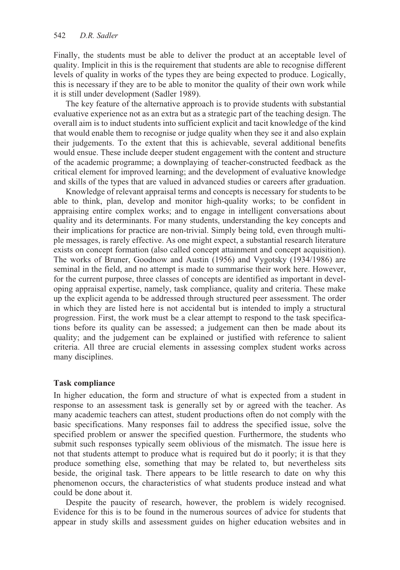Finally, the students must be able to deliver the product at an acceptable level of quality. Implicit in this is the requirement that students are able to recognise different levels of quality in works of the types they are being expected to produce. Logically, this is necessary if they are to be able to monitor the quality of their own work while it is still under development (Sadler 1989).

The key feature of the alternative approach is to provide students with substantial evaluative experience not as an extra but as a strategic part of the teaching design. The overall aim is to induct students into sufficient explicit and tacit knowledge of the kind that would enable them to recognise or judge quality when they see it and also explain their judgements. To the extent that this is achievable, several additional benefits would ensue. These include deeper student engagement with the content and structure of the academic programme; a downplaying of teacher-constructed feedback as the critical element for improved learning; and the development of evaluative knowledge and skills of the types that are valued in advanced studies or careers after graduation.

Knowledge of relevant appraisal terms and concepts is necessary for students to be able to think, plan, develop and monitor high-quality works; to be confident in appraising entire complex works; and to engage in intelligent conversations about quality and its determinants. For many students, understanding the key concepts and their implications for practice are non-trivial. Simply being told, even through multiple messages, is rarely effective. As one might expect, a substantial research literature exists on concept formation (also called concept attainment and concept acquisition). The works of Bruner, Goodnow and Austin (1956) and Vygotsky (1934/1986) are seminal in the field, and no attempt is made to summarise their work here. However, for the current purpose, three classes of concepts are identified as important in developing appraisal expertise, namely, task compliance, quality and criteria. These make up the explicit agenda to be addressed through structured peer assessment. The order in which they are listed here is not accidental but is intended to imply a structural progression. First, the work must be a clear attempt to respond to the task specifications before its quality can be assessed; a judgement can then be made about its quality; and the judgement can be explained or justified with reference to salient criteria. All three are crucial elements in assessing complex student works across many disciplines.

#### **Task compliance**

In higher education, the form and structure of what is expected from a student in response to an assessment task is generally set by or agreed with the teacher. As many academic teachers can attest, student productions often do not comply with the basic specifications. Many responses fail to address the specified issue, solve the specified problem or answer the specified question. Furthermore, the students who submit such responses typically seem oblivious of the mismatch. The issue here is not that students attempt to produce what is required but do it poorly; it is that they produce something else, something that may be related to, but nevertheless sits beside, the original task. There appears to be little research to date on why this phenomenon occurs, the characteristics of what students produce instead and what could be done about it.

Despite the paucity of research, however, the problem is widely recognised. Evidence for this is to be found in the numerous sources of advice for students that appear in study skills and assessment guides on higher education websites and in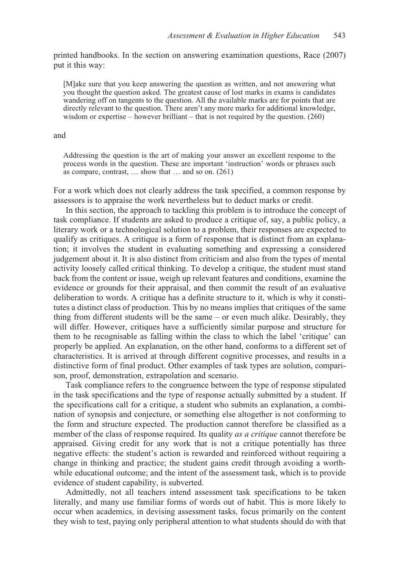printed handbooks. In the section on answering examination questions, Race (2007) put it this way:

[M]ake sure that you keep answering the question as written, and not answering what you thought the question asked. The greatest cause of lost marks in exams is candidates wandering off on tangents to the question. All the available marks are for points that are directly relevant to the question. There aren't any more marks for additional knowledge, wisdom or expertise – however brilliant – that is not required by the question.  $(260)$ 

#### and

Addressing the question is the art of making your answer an excellent response to the process words in the question. These are important 'instruction' words or phrases such as compare, contrast, … show that … and so on. (261)

For a work which does not clearly address the task specified, a common response by assessors is to appraise the work nevertheless but to deduct marks or credit.

In this section, the approach to tackling this problem is to introduce the concept of task compliance. If students are asked to produce a critique of, say, a public policy, a literary work or a technological solution to a problem, their responses are expected to qualify as critiques. A critique is a form of response that is distinct from an explanation; it involves the student in evaluating something and expressing a considered judgement about it. It is also distinct from criticism and also from the types of mental activity loosely called critical thinking. To develop a critique, the student must stand back from the content or issue, weigh up relevant features and conditions, examine the evidence or grounds for their appraisal, and then commit the result of an evaluative deliberation to words. A critique has a definite structure to it, which is why it constitutes a distinct class of production. This by no means implies that critiques of the same thing from different students will be the same – or even much alike. Desirably, they will differ. However, critiques have a sufficiently similar purpose and structure for them to be recognisable as falling within the class to which the label 'critique' can properly be applied. An explanation, on the other hand, conforms to a different set of characteristics. It is arrived at through different cognitive processes, and results in a distinctive form of final product. Other examples of task types are solution, comparison, proof, demonstration, extrapolation and scenario.

Task compliance refers to the congruence between the type of response stipulated in the task specifications and the type of response actually submitted by a student. If the specifications call for a critique, a student who submits an explanation, a combination of synopsis and conjecture, or something else altogether is not conforming to the form and structure expected. The production cannot therefore be classified as a member of the class of response required. Its quality *as a critique* cannot therefore be appraised. Giving credit for any work that is not a critique potentially has three negative effects: the student's action is rewarded and reinforced without requiring a change in thinking and practice; the student gains credit through avoiding a worthwhile educational outcome; and the intent of the assessment task, which is to provide evidence of student capability, is subverted.

Admittedly, not all teachers intend assessment task specifications to be taken literally, and many use familiar forms of words out of habit. This is more likely to occur when academics, in devising assessment tasks, focus primarily on the content they wish to test, paying only peripheral attention to what students should do with that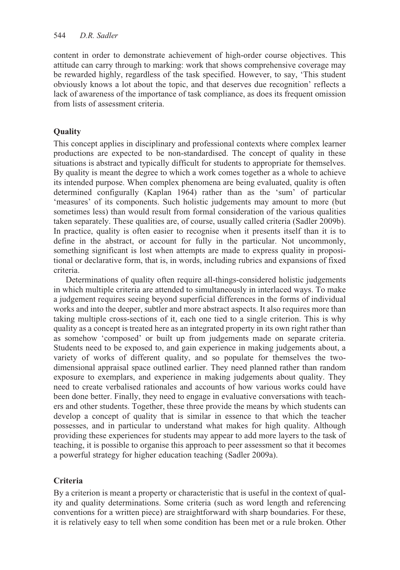content in order to demonstrate achievement of high-order course objectives. This attitude can carry through to marking: work that shows comprehensive coverage may be rewarded highly, regardless of the task specified. However, to say, 'This student obviously knows a lot about the topic, and that deserves due recognition' reflects a lack of awareness of the importance of task compliance, as does its frequent omission from lists of assessment criteria.

# **Quality**

This concept applies in disciplinary and professional contexts where complex learner productions are expected to be non-standardised. The concept of quality in these situations is abstract and typically difficult for students to appropriate for themselves. By quality is meant the degree to which a work comes together as a whole to achieve its intended purpose. When complex phenomena are being evaluated, quality is often determined configurally (Kaplan 1964) rather than as the 'sum' of particular 'measures' of its components. Such holistic judgements may amount to more (but sometimes less) than would result from formal consideration of the various qualities taken separately. These qualities are, of course, usually called criteria (Sadler 2009b). In practice, quality is often easier to recognise when it presents itself than it is to define in the abstract, or account for fully in the particular. Not uncommonly, something significant is lost when attempts are made to express quality in propositional or declarative form, that is, in words, including rubrics and expansions of fixed criteria.

Determinations of quality often require all-things-considered holistic judgements in which multiple criteria are attended to simultaneously in interlaced ways. To make a judgement requires seeing beyond superficial differences in the forms of individual works and into the deeper, subtler and more abstract aspects. It also requires more than taking multiple cross-sections of it, each one tied to a single criterion. This is why quality as a concept is treated here as an integrated property in its own right rather than as somehow 'composed' or built up from judgements made on separate criteria. Students need to be exposed to, and gain experience in making judgements about, a variety of works of different quality, and so populate for themselves the twodimensional appraisal space outlined earlier. They need planned rather than random exposure to exemplars, and experience in making judgements about quality. They need to create verbalised rationales and accounts of how various works could have been done better. Finally, they need to engage in evaluative conversations with teachers and other students. Together, these three provide the means by which students can develop a concept of quality that is similar in essence to that which the teacher possesses, and in particular to understand what makes for high quality. Although providing these experiences for students may appear to add more layers to the task of teaching, it is possible to organise this approach to peer assessment so that it becomes a powerful strategy for higher education teaching (Sadler 2009a).

# **Criteria**

By a criterion is meant a property or characteristic that is useful in the context of quality and quality determinations. Some criteria (such as word length and referencing conventions for a written piece) are straightforward with sharp boundaries. For these, it is relatively easy to tell when some condition has been met or a rule broken. Other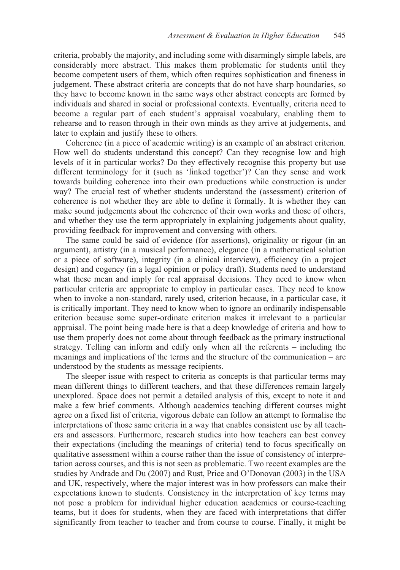criteria, probably the majority, and including some with disarmingly simple labels, are considerably more abstract. This makes them problematic for students until they become competent users of them, which often requires sophistication and fineness in judgement. These abstract criteria are concepts that do not have sharp boundaries, so they have to become known in the same ways other abstract concepts are formed by individuals and shared in social or professional contexts. Eventually, criteria need to become a regular part of each student's appraisal vocabulary, enabling them to rehearse and to reason through in their own minds as they arrive at judgements, and later to explain and justify these to others.

Coherence (in a piece of academic writing) is an example of an abstract criterion. How well do students understand this concept? Can they recognise low and high levels of it in particular works? Do they effectively recognise this property but use different terminology for it (such as 'linked together')? Can they sense and work towards building coherence into their own productions while construction is under way? The crucial test of whether students understand the (assessment) criterion of coherence is not whether they are able to define it formally. It is whether they can make sound judgements about the coherence of their own works and those of others, and whether they use the term appropriately in explaining judgements about quality, providing feedback for improvement and conversing with others.

The same could be said of evidence (for assertions), originality or rigour (in an argument), artistry (in a musical performance), elegance (in a mathematical solution or a piece of software), integrity (in a clinical interview), efficiency (in a project design) and cogency (in a legal opinion or policy draft). Students need to understand what these mean and imply for real appraisal decisions. They need to know when particular criteria are appropriate to employ in particular cases. They need to know when to invoke a non-standard, rarely used, criterion because, in a particular case, it is critically important. They need to know when to ignore an ordinarily indispensable criterion because some super-ordinate criterion makes it irrelevant to a particular appraisal. The point being made here is that a deep knowledge of criteria and how to use them properly does not come about through feedback as the primary instructional strategy. Telling can inform and edify only when all the referents – including the meanings and implications of the terms and the structure of the communication – are understood by the students as message recipients.

The sleeper issue with respect to criteria as concepts is that particular terms may mean different things to different teachers, and that these differences remain largely unexplored. Space does not permit a detailed analysis of this, except to note it and make a few brief comments. Although academics teaching different courses might agree on a fixed list of criteria, vigorous debate can follow an attempt to formalise the interpretations of those same criteria in a way that enables consistent use by all teachers and assessors. Furthermore, research studies into how teachers can best convey their expectations (including the meanings of criteria) tend to focus specifically on qualitative assessment within a course rather than the issue of consistency of interpretation across courses, and this is not seen as problematic. Two recent examples are the studies by Andrade and Du (2007) and Rust, Price and O'Donovan (2003) in the USA and UK, respectively, where the major interest was in how professors can make their expectations known to students. Consistency in the interpretation of key terms may not pose a problem for individual higher education academics or course-teaching teams, but it does for students, when they are faced with interpretations that differ significantly from teacher to teacher and from course to course. Finally, it might be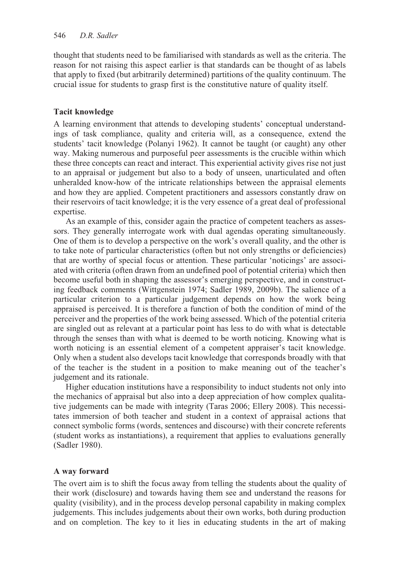thought that students need to be familiarised with standards as well as the criteria. The reason for not raising this aspect earlier is that standards can be thought of as labels that apply to fixed (but arbitrarily determined) partitions of the quality continuum. The crucial issue for students to grasp first is the constitutive nature of quality itself.

### **Tacit knowledge**

A learning environment that attends to developing students' conceptual understandings of task compliance, quality and criteria will, as a consequence, extend the students' tacit knowledge (Polanyi 1962). It cannot be taught (or caught) any other way. Making numerous and purposeful peer assessments is the crucible within which these three concepts can react and interact. This experiential activity gives rise not just to an appraisal or judgement but also to a body of unseen, unarticulated and often unheralded know-how of the intricate relationships between the appraisal elements and how they are applied. Competent practitioners and assessors constantly draw on their reservoirs of tacit knowledge; it is the very essence of a great deal of professional expertise.

As an example of this, consider again the practice of competent teachers as assessors. They generally interrogate work with dual agendas operating simultaneously. One of them is to develop a perspective on the work's overall quality, and the other is to take note of particular characteristics (often but not only strengths or deficiencies) that are worthy of special focus or attention. These particular 'noticings' are associated with criteria (often drawn from an undefined pool of potential criteria) which then become useful both in shaping the assessor's emerging perspective, and in constructing feedback comments (Wittgenstein 1974; Sadler 1989, 2009b). The salience of a particular criterion to a particular judgement depends on how the work being appraised is perceived. It is therefore a function of both the condition of mind of the perceiver and the properties of the work being assessed. Which of the potential criteria are singled out as relevant at a particular point has less to do with what is detectable through the senses than with what is deemed to be worth noticing. Knowing what is worth noticing is an essential element of a competent appraiser's tacit knowledge. Only when a student also develops tacit knowledge that corresponds broadly with that of the teacher is the student in a position to make meaning out of the teacher's judgement and its rationale.

Higher education institutions have a responsibility to induct students not only into the mechanics of appraisal but also into a deep appreciation of how complex qualitative judgements can be made with integrity (Taras 2006; Ellery 2008). This necessitates immersion of both teacher and student in a context of appraisal actions that connect symbolic forms (words, sentences and discourse) with their concrete referents (student works as instantiations), a requirement that applies to evaluations generally (Sadler 1980).

## **A way forward**

The overt aim is to shift the focus away from telling the students about the quality of their work (disclosure) and towards having them see and understand the reasons for quality (visibility), and in the process develop personal capability in making complex judgements. This includes judgements about their own works, both during production and on completion. The key to it lies in educating students in the art of making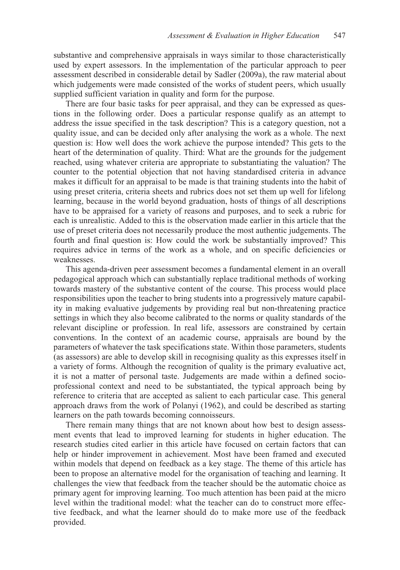substantive and comprehensive appraisals in ways similar to those characteristically used by expert assessors. In the implementation of the particular approach to peer assessment described in considerable detail by Sadler (2009a), the raw material about which judgements were made consisted of the works of student peers, which usually supplied sufficient variation in quality and form for the purpose.

There are four basic tasks for peer appraisal, and they can be expressed as questions in the following order. Does a particular response qualify as an attempt to address the issue specified in the task description? This is a category question, not a quality issue, and can be decided only after analysing the work as a whole. The next question is: How well does the work achieve the purpose intended? This gets to the heart of the determination of quality. Third: What are the grounds for the judgement reached, using whatever criteria are appropriate to substantiating the valuation? The counter to the potential objection that not having standardised criteria in advance makes it difficult for an appraisal to be made is that training students into the habit of using preset criteria, criteria sheets and rubrics does not set them up well for lifelong learning, because in the world beyond graduation, hosts of things of all descriptions have to be appraised for a variety of reasons and purposes, and to seek a rubric for each is unrealistic. Added to this is the observation made earlier in this article that the use of preset criteria does not necessarily produce the most authentic judgements. The fourth and final question is: How could the work be substantially improved? This requires advice in terms of the work as a whole, and on specific deficiencies or weaknesses.

This agenda-driven peer assessment becomes a fundamental element in an overall pedagogical approach which can substantially replace traditional methods of working towards mastery of the substantive content of the course. This process would place responsibilities upon the teacher to bring students into a progressively mature capability in making evaluative judgements by providing real but non-threatening practice settings in which they also become calibrated to the norms or quality standards of the relevant discipline or profession. In real life, assessors are constrained by certain conventions. In the context of an academic course, appraisals are bound by the parameters of whatever the task specifications state. Within those parameters, students (as assessors) are able to develop skill in recognising quality as this expresses itself in a variety of forms. Although the recognition of quality is the primary evaluative act, it is not a matter of personal taste. Judgements are made within a defined socioprofessional context and need to be substantiated, the typical approach being by reference to criteria that are accepted as salient to each particular case. This general approach draws from the work of Polanyi (1962), and could be described as starting learners on the path towards becoming connoisseurs.

There remain many things that are not known about how best to design assessment events that lead to improved learning for students in higher education. The research studies cited earlier in this article have focused on certain factors that can help or hinder improvement in achievement. Most have been framed and executed within models that depend on feedback as a key stage. The theme of this article has been to propose an alternative model for the organisation of teaching and learning. It challenges the view that feedback from the teacher should be the automatic choice as primary agent for improving learning. Too much attention has been paid at the micro level within the traditional model: what the teacher can do to construct more effective feedback, and what the learner should do to make more use of the feedback provided.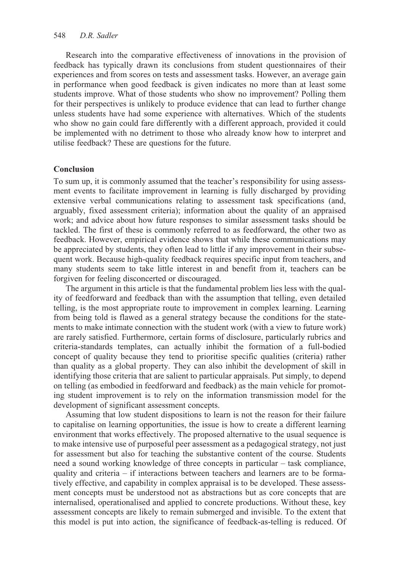Research into the comparative effectiveness of innovations in the provision of feedback has typically drawn its conclusions from student questionnaires of their experiences and from scores on tests and assessment tasks. However, an average gain in performance when good feedback is given indicates no more than at least some students improve. What of those students who show no improvement? Polling them for their perspectives is unlikely to produce evidence that can lead to further change unless students have had some experience with alternatives. Which of the students who show no gain could fare differently with a different approach, provided it could be implemented with no detriment to those who already know how to interpret and utilise feedback? These are questions for the future.

#### **Conclusion**

To sum up, it is commonly assumed that the teacher's responsibility for using assessment events to facilitate improvement in learning is fully discharged by providing extensive verbal communications relating to assessment task specifications (and, arguably, fixed assessment criteria); information about the quality of an appraised work; and advice about how future responses to similar assessment tasks should be tackled. The first of these is commonly referred to as feedforward, the other two as feedback. However, empirical evidence shows that while these communications may be appreciated by students, they often lead to little if any improvement in their subsequent work. Because high-quality feedback requires specific input from teachers, and many students seem to take little interest in and benefit from it, teachers can be forgiven for feeling disconcerted or discouraged.

The argument in this article is that the fundamental problem lies less with the quality of feedforward and feedback than with the assumption that telling, even detailed telling, is the most appropriate route to improvement in complex learning. Learning from being told is flawed as a general strategy because the conditions for the statements to make intimate connection with the student work (with a view to future work) are rarely satisfied. Furthermore, certain forms of disclosure, particularly rubrics and criteria-standards templates, can actually inhibit the formation of a full-bodied concept of quality because they tend to prioritise specific qualities (criteria) rather than quality as a global property. They can also inhibit the development of skill in identifying those criteria that are salient to particular appraisals. Put simply, to depend on telling (as embodied in feedforward and feedback) as the main vehicle for promoting student improvement is to rely on the information transmission model for the development of significant assessment concepts.

Assuming that low student dispositions to learn is not the reason for their failure to capitalise on learning opportunities, the issue is how to create a different learning environment that works effectively. The proposed alternative to the usual sequence is to make intensive use of purposeful peer assessment as a pedagogical strategy, not just for assessment but also for teaching the substantive content of the course. Students need a sound working knowledge of three concepts in particular – task compliance, quality and criteria  $-$  if interactions between teachers and learners are to be formatively effective, and capability in complex appraisal is to be developed. These assessment concepts must be understood not as abstractions but as core concepts that are internalised, operationalised and applied to concrete productions. Without these, key assessment concepts are likely to remain submerged and invisible. To the extent that this model is put into action, the significance of feedback-as-telling is reduced. Of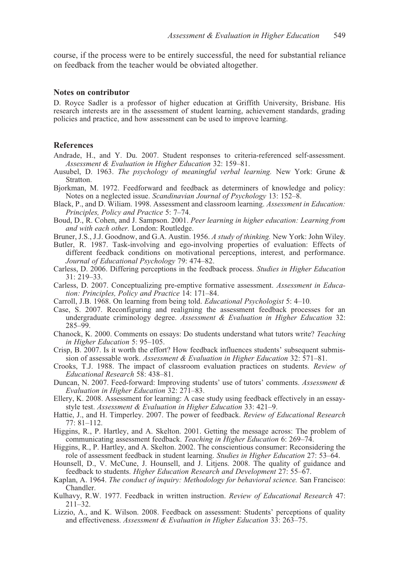course, if the process were to be entirely successful, the need for substantial reliance on feedback from the teacher would be obviated altogether.

#### **Notes on contributor**

D. Royce Sadler is a professor of higher education at Griffith University, Brisbane. His research interests are in the assessment of student learning, achievement standards, grading policies and practice, and how assessment can be used to improve learning.

#### **References**

- Andrade, H., and Y. Du. 2007. Student responses to criteria-referenced self-assessment. *Assessment & Evaluation in Higher Education* 32: 159–81.
- Ausubel, D. 1963. *The psychology of meaningful verbal learning.* New York: Grune & Stratton.
- Bjorkman, M. 1972. Feedforward and feedback as determiners of knowledge and policy: Notes on a neglected issue. *Scandinavian Journal of Psychology* 13: 152–8.
- Black, P., and D. Wiliam. 1998. Assessment and classroom learning. *Assessment in Education: Principles, Policy and Practice* 5: 7–74.
- Boud, D., R. Cohen, and J. Sampson. 2001. *Peer learning in higher education: Learning from and with each other.* London: Routledge.
- Bruner, J.S., J.J. Goodnow, and G.A. Austin. 1956. *A study of thinking.* New York: John Wiley.
- Butler, R. 1987. Task-involving and ego-involving properties of evaluation: Effects of different feedback conditions on motivational perceptions, interest, and performance. *Journal of Educational Psychology* 79: 474–82.
- Carless, D. 2006. Differing perceptions in the feedback process. *Studies in Higher Education* 31: 219–33.
- Carless, D. 2007. Conceptualizing pre-emptive formative assessment. *Assessment in Education: Principles, Policy and Practice* 14: 171–84.
- Carroll, J.B. 1968. On learning from being told. *Educational Psychologist* 5: 4–10.
- Case, S. 2007. Reconfiguring and realigning the assessment feedback processes for an undergraduate criminology degree. *Assessment & Evaluation in Higher Education* 32: 285–99.
- Chanock, K. 2000. Comments on essays: Do students understand what tutors write? *Teaching in Higher Education* 5: 95–105.
- Crisp, B. 2007. Is it worth the effort? How feedback influences students' subsequent submission of assessable work. *Assessment & Evaluation in Higher Education* 32: 571–81.
- Crooks, T.J. 1988. The impact of classroom evaluation practices on students. *Review of Educational Research* 58: 438–81.
- Duncan, N. 2007. Feed-forward: Improving students' use of tutors' comments. *Assessment & Evaluation in Higher Education* 32: 271–83.
- Ellery, K. 2008. Assessment for learning: A case study using feedback effectively in an essaystyle test. *Assessment & Evaluation in Higher Education* 33: 421–9.
- Hattie, J., and H. Timperley. 2007. The power of feedback. *Review of Educational Research* 77: 81–112.
- Higgins, R., P. Hartley, and A. Skelton. 2001. Getting the message across: The problem of communicating assessment feedback. *Teaching in Higher Education* 6: 269–74.
- Higgins, R., P. Hartley, and A. Skelton. 2002. The conscientious consumer: Reconsidering the role of assessment feedback in student learning. *Studies in Higher Education* 27: 53–64.
- Hounsell, D., V. McCune, J. Hounsell, and J. Litjens. 2008. The quality of guidance and feedback to students. *Higher Education Research and Development* 27: 55–67.
- Kaplan, A. 1964. *The conduct of inquiry: Methodology for behavioral science.* San Francisco: Chandler.
- Kulhavy, R.W. 1977. Feedback in written instruction. *Review of Educational Research* 47: 211–32.
- Lizzio, A., and K. Wilson. 2008. Feedback on assessment: Students' perceptions of quality and effectiveness. *Assessment & Evaluation in Higher Education* 33: 263–75.